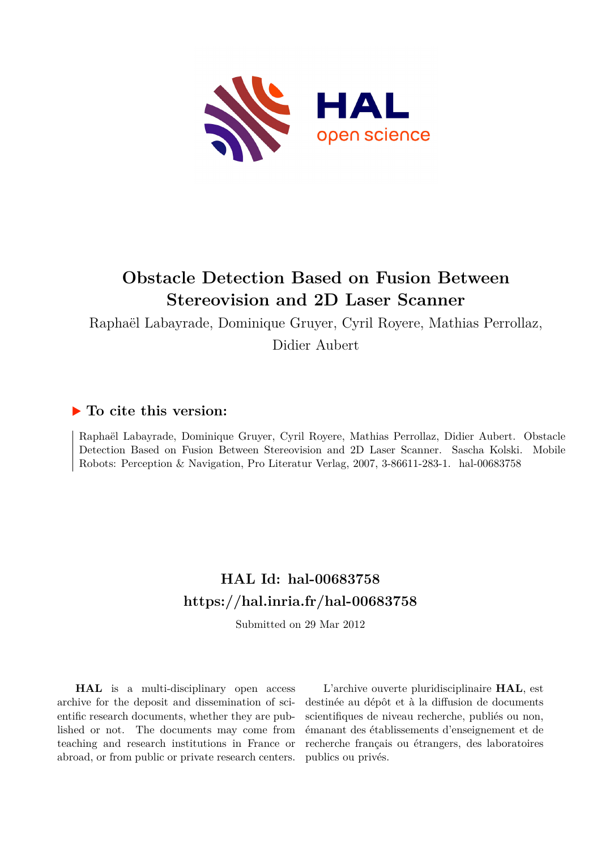

# **Obstacle Detection Based on Fusion Between Stereovision and 2D Laser Scanner**

Raphaël Labayrade, Dominique Gruyer, Cyril Royere, Mathias Perrollaz,

Didier Aubert

## **To cite this version:**

Raphaël Labayrade, Dominique Gruyer, Cyril Royere, Mathias Perrollaz, Didier Aubert. Obstacle Detection Based on Fusion Between Stereovision and 2D Laser Scanner. Sascha Kolski. Mobile Robots: Perception & Navigation, Pro Literatur Verlag, 2007, 3-86611-283-1. hal-00683758

# **HAL Id: hal-00683758 <https://hal.inria.fr/hal-00683758>**

Submitted on 29 Mar 2012

**HAL** is a multi-disciplinary open access archive for the deposit and dissemination of scientific research documents, whether they are published or not. The documents may come from teaching and research institutions in France or abroad, or from public or private research centers.

L'archive ouverte pluridisciplinaire **HAL**, est destinée au dépôt et à la diffusion de documents scientifiques de niveau recherche, publiés ou non, émanant des établissements d'enseignement et de recherche français ou étrangers, des laboratoires publics ou privés.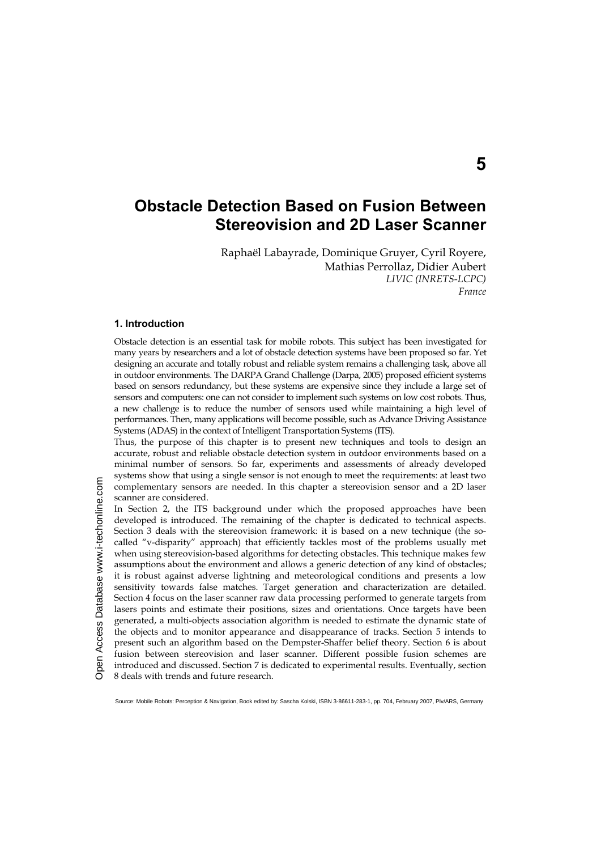## **Obstacle Detection Based on Fusion Between Stereovision and 2D Laser Scanner**

Raphaël Labayrade, Dominique Gruyer, Cyril Royere, Mathias Perrollaz, Didier Aubert *LIVIC (INRETS-LCPC) France*

## **1. Introduction**

Obstacle detection is an essential task for mobile robots. This subject has been investigated for many years by researchers and a lot of obstacle detection systems have been proposed so far. Yet designing an accurate and totally robust and reliable system remains a challenging task, above all in outdoor environments. The DARPA Grand Challenge (Darpa, 2005) proposed efficient systems based on sensors redundancy, but these systems are expensive since they include a large set of sensors and computers: one can not consider to implement such systems on low cost robots. Thus, a new challenge is to reduce the number of sensors used while maintaining a high level of performances. Then, many applications will become possible, such as Advance Driving Assistance Systems (ADAS) in the context of Intelligent Transportation Systems (ITS).

Thus, the purpose of this chapter is to present new techniques and tools to design an accurate, robust and reliable obstacle detection system in outdoor environments based on a minimal number of sensors. So far, experiments and assessments of already developed systems show that using a single sensor is not enough to meet the requirements: at least two complementary sensors are needed. In this chapter a stereovision sensor and a 2D laser scanner are considered.

In Section 2, the ITS background under which the proposed approaches have been developed is introduced. The remaining of the chapter is dedicated to technical aspects. Section 3 deals with the stereovision framework: it is based on a new technique (the socalled "v-disparity" approach) that efficiently tackles most of the problems usually met when using stereovision-based algorithms for detecting obstacles. This technique makes few assumptions about the environment and allows a generic detection of any kind of obstacles; it is robust against adverse lightning and meteorological conditions and presents a low sensitivity towards false matches. Target generation and characterization are detailed. Section 4 focus on the laser scanner raw data processing performed to generate targets from lasers points and estimate their positions, sizes and orientations. Once targets have been generated, a multi-objects association algorithm is needed to estimate the dynamic state of the objects and to monitor appearance and disappearance of tracks. Section 5 intends to present such an algorithm based on the Dempster-Shaffer belief theory. Section 6 is about fusion between stereovision and laser scanner. Different possible fusion schemes are introduced and discussed. Section 7 is dedicated to experimental results. Eventually, section 8 deals with trends and future research. Source: Mobile Robots: Perception & Navigation, Book edited by: Sascha Kolski, ISBN 3-86611-283-1, pp. 704, February 2007, Plw/ARS, German Source: Mobile Robots: Perception & Navigation, Dook edited by: Expection of any ki

**5**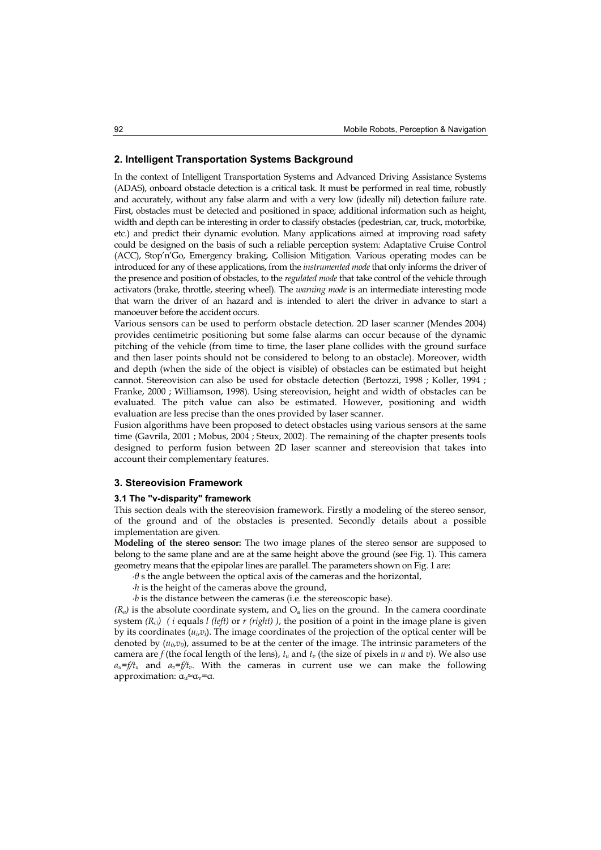## **2. Intelligent Transportation Systems Background**

In the context of Intelligent Transportation Systems and Advanced Driving Assistance Systems (ADAS), onboard obstacle detection is a critical task. It must be performed in real time, robustly and accurately, without any false alarm and with a very low (ideally nil) detection failure rate. First, obstacles must be detected and positioned in space; additional information such as height, width and depth can be interesting in order to classify obstacles (pedestrian, car, truck, motorbike, etc.) and predict their dynamic evolution. Many applications aimed at improving road safety could be designed on the basis of such a reliable perception system: Adaptative Cruise Control (ACC), Stop'n'Go, Emergency braking, Collision Mitigation. Various operating modes can be introduced for any of these applications, from the *instrumented mode* that only informs the driver of the presence and position of obstacles, to the *regulated mode* that take control of the vehicle through activators (brake, throttle, steering wheel). The *warning mode* is an intermediate interesting mode that warn the driver of an hazard and is intended to alert the driver in advance to start a manoeuver before the accident occurs.

Various sensors can be used to perform obstacle detection. 2D laser scanner (Mendes 2004) provides centimetric positioning but some false alarms can occur because of the dynamic pitching of the vehicle (from time to time, the laser plane collides with the ground surface and then laser points should not be considered to belong to an obstacle). Moreover, width and depth (when the side of the object is visible) of obstacles can be estimated but height cannot. Stereovision can also be used for obstacle detection (Bertozzi, 1998 ; Koller, 1994 ; Franke, 2000 ; Williamson, 1998). Using stereovision, height and width of obstacles can be evaluated. The pitch value can also be estimated. However, positioning and width evaluation are less precise than the ones provided by laser scanner.

Fusion algorithms have been proposed to detect obstacles using various sensors at the same time (Gavrila, 2001 ; Mobus, 2004 ; Steux, 2002). The remaining of the chapter presents tools designed to perform fusion between 2D laser scanner and stereovision that takes into account their complementary features.

## **3. Stereovision Framework**

#### **3.1 The "v-disparity" framework**

This section deals with the stereovision framework. Firstly a modeling of the stereo sensor, of the ground and of the obstacles is presented. Secondly details about a possible implementation are given.

**Modeling of the stereo sensor:** The two image planes of the stereo sensor are supposed to belong to the same plane and are at the same height above the ground (see Fig. 1). This camera geometry means that the epipolar lines are parallel. The parameters shown on Fig. 1 are:

- $·$  $\theta$  s the angle between the optical axis of the cameras and the horizontal,
- ·*h* is the height of the cameras above the ground,
- ·*b* is the distance between the cameras (i.e. the stereoscopic base).

 $(R_a)$  is the absolute coordinate system, and  $O_a$  lies on the ground. In the camera coordinate system *(Rci) ( i* equals *l (left)* or *r (right) )*, the position of a point in the image plane is given by its coordinates  $(u_i, v_i)$ . The image coordinates of the projection of the optical center will be denoted by  $(u_0, v_0)$ , assumed to be at the center of the image. The intrinsic parameters of the camera are *f* (the focal length of the lens),  $t_u$  and  $t_v$  (the size of pixels in *u* and *v*). We also use  $a_u = f/t_u$  and  $a_v = f/t_v$ . With the cameras in current use we can make the following approximation:  $a_u \approx a_v = \alpha$ .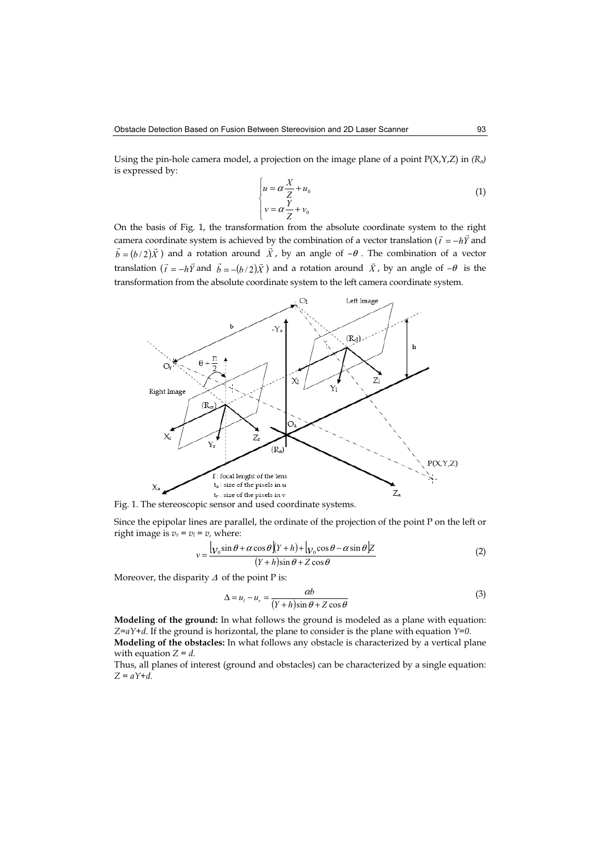Using the pin-hole camera model, a projection on the image plane of a point  $P(X, Y, Z)$  in  $(R_a)$ is expressed by:

$$
\begin{cases}\n u = \alpha \frac{X}{Z} + u_0 \\
 v = \alpha \frac{Y}{Z} + v_0\n\end{cases}
$$
\n(1)

On the basis of Fig. 1, the transformation from the absolute coordinate system to the right camera coordinate system is achieved by the combination of a vector translation ( $\vec{t} = -h\vec{Y}$  and  $\vec{b} = (b/2)\vec{X}$  and a rotation around  $\vec{X}$ , by an angle of *-θ*. The combination of a vector translation  $(\vec{t} = -h\vec{Y}$  and  $\vec{b} = -(b/2)\vec{X}$ ) and a rotation around  $\vec{X}$ , by an angle of  $-\theta$  is the transformation from the absolute coordinate system to the left camera coordinate system.



Fig. 1. The stereoscopic sensor and used coordinate systems.

Since the epipolar lines are parallel, the ordinate of the projection of the point P on the left or right image is  $v_r = v_l = v$ , where:

$$
v = \frac{\left| \psi_0 \sin \theta + \alpha \cos \theta \right| (Y + h) + \left| \psi_0 \cos \theta - \alpha \sin \theta \right| Z}{(Y + h) \sin \theta + Z \cos \theta} \tag{2}
$$

Moreover, the disparity  $\Delta$  of the point P is:

$$
\Delta = u_t - u_r = \frac{\alpha b}{(Y + h)\sin\theta + Z\cos\theta} \tag{3}
$$

**Modeling of the ground:** In what follows the ground is modeled as a plane with equation: *Z=aY+d*. If the ground is horizontal, the plane to consider is the plane with equation *Y=0*. **Modeling of the obstacles:** In what follows any obstacle is characterized by a vertical plane with equation *Z = d*.

Thus, all planes of interest (ground and obstacles) can be characterized by a single equation: *Z = aY+d.*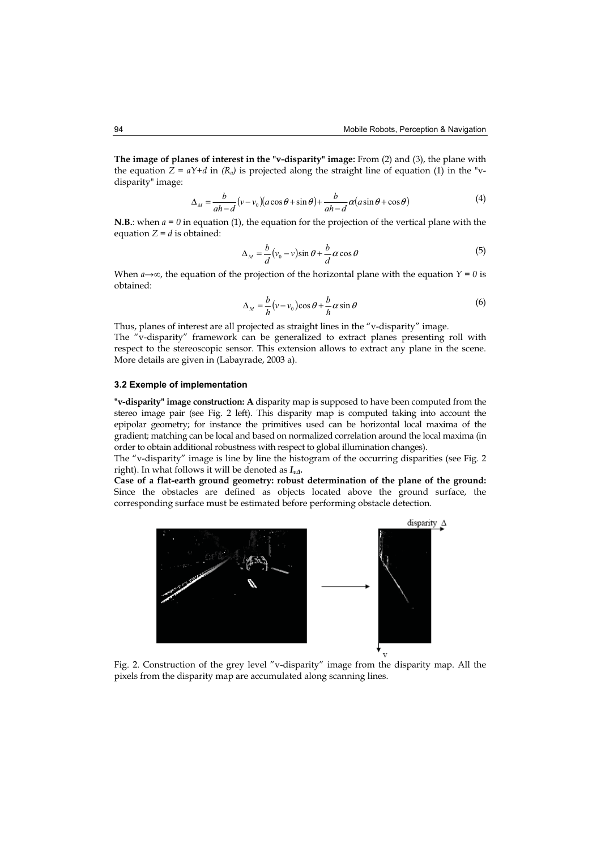**The image of planes of interest in the "v-disparity" image:** From (2) and (3), the plane with the equation  $\overline{Z} = aY + d$  in  $(R_a)$  is projected along the straight line of equation (1) in the "vdisparity" image:

$$
\Delta_M = \frac{b}{ah - d} (v - v_0)(a \cos \theta + \sin \theta) + \frac{b}{ah - d} \alpha (a \sin \theta + \cos \theta)
$$
 (4)

**N.B.**: when  $a = 0$  in equation (1), the equation for the projection of the vertical plane with the equation  $Z = d$  is obtained:

$$
\Delta_M = \frac{b}{d} (v_0 - v) \sin \theta + \frac{b}{d} \alpha \cos \theta \tag{5}
$$

When  $a\rightarrow\infty$ , the equation of the projection of the horizontal plane with the equation  $Y = 0$  is obtained:

$$
\Delta_M = \frac{b}{h} \left( v - v_0 \right) \cos \theta + \frac{b}{h} \alpha \sin \theta \tag{6}
$$

Thus, planes of interest are all projected as straight lines in the "v-disparity" image. The "v-disparity" framework can be generalized to extract planes presenting roll with respect to the stereoscopic sensor. This extension allows to extract any plane in the scene. More details are given in (Labayrade, 2003 a).

#### **3.2 Exemple of implementation**

**"v-disparity" image construction: A** disparity map is supposed to have been computed from the stereo image pair (see Fig. 2 left). This disparity map is computed taking into account the epipolar geometry; for instance the primitives used can be horizontal local maxima of the gradient; matching can be local and based on normalized correlation around the local maxima (in order to obtain additional robustness with respect to global illumination changes).

The "v-disparity" image is line by line the histogram of the occurring disparities (see Fig. 2 right). In what follows it will be denoted as  $I_{v\Delta}$ .

**Case of a flat-earth ground geometry: robust determination of the plane of the ground:**  Since the obstacles are defined as objects located above the ground surface, the corresponding surface must be estimated before performing obstacle detection.



Fig. 2. Construction of the grey level "v-disparity" image from the disparity map. All the pixels from the disparity map are accumulated along scanning lines.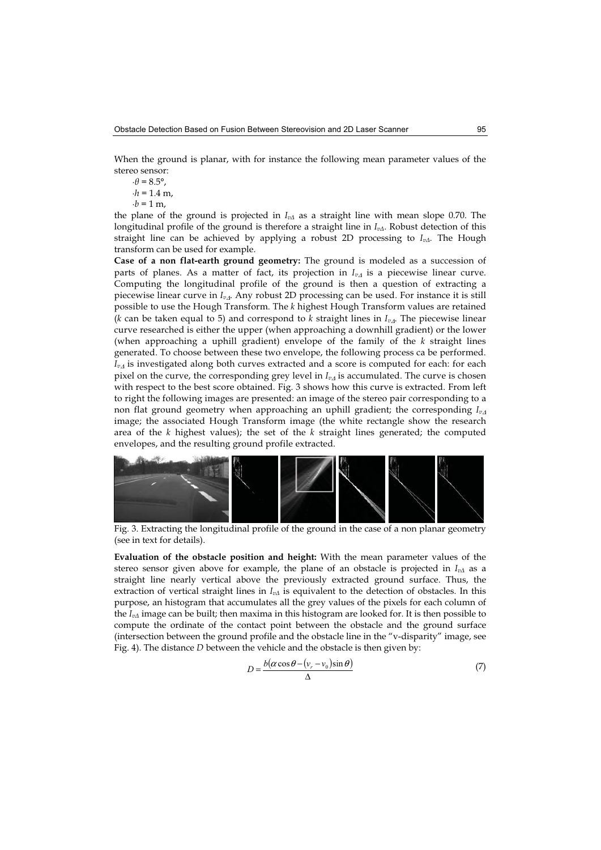When the ground is planar, with for instance the following mean parameter values of the stereo sensor:

 $\theta = 8.5^\circ$  $\cdot h = 1.4 \text{ m}$ ,  $\cdot b = 1$  m,

the plane of the ground is projected in  $I_{v\Delta}$  as a straight line with mean slope 0.70. The longitudinal profile of the ground is therefore a straight line in *I<sub>v</sub>*<sup>*n*</sup>. Robust detection of this straight line can be achieved by applying a robust 2D processing to  $I_{v\Delta}$ . The Hough transform can be used for example.

**Case of a non flat-earth ground geometry:** The ground is modeled as a succession of parts of planes. As a matter of fact, its projection in  $I_{v\Delta}$  is a piecewise linear curve. Computing the longitudinal profile of the ground is then a question of extracting a piecewise linear curve in *I<sub>vΔ</sub>*. Any robust 2D processing can be used. For instance it is still possible to use the Hough Transform. The *k* highest Hough Transform values are retained (*k* can be taken equal to 5) and correspond to *k* straight lines in  $I_{v\Lambda}$ . The piecewise linear curve researched is either the upper (when approaching a downhill gradient) or the lower (when approaching a uphill gradient) envelope of the family of the *k* straight lines generated. To choose between these two envelope, the following process ca be performed. *I<sub>vΔ</sub>* is investigated along both curves extracted and a score is computed for each: for each pixel on the curve, the corresponding grey level in  $I_{v\Delta}$  is accumulated. The curve is chosen with respect to the best score obtained. Fig. 3 shows how this curve is extracted. From left to right the following images are presented: an image of the stereo pair corresponding to a non flat ground geometry when approaching an uphill gradient; the corresponding *Iv*<sup>Δ</sup> image; the associated Hough Transform image (the white rectangle show the research area of the *k* highest values); the set of the *k* straight lines generated; the computed envelopes, and the resulting ground profile extracted.



Fig. 3. Extracting the longitudinal profile of the ground in the case of a non planar geometry (see in text for details).

**Evaluation of the obstacle position and height:** With the mean parameter values of the stereo sensor given above for example, the plane of an obstacle is projected in  $I_{v\Delta}$  as a straight line nearly vertical above the previously extracted ground surface. Thus, the extraction of vertical straight lines in  $I_{v\Delta}$  is equivalent to the detection of obstacles. In this purpose, an histogram that accumulates all the grey values of the pixels for each column of the  $I_{\nu\Delta}$  image can be built; then maxima in this histogram are looked for. It is then possible to compute the ordinate of the contact point between the obstacle and the ground surface (intersection between the ground profile and the obstacle line in the "v-disparity" image, see Fig. 4). The distance *D* between the vehicle and the obstacle is then given by:

$$
D = \frac{b(\alpha \cos \theta - (v_r - v_0)\sin \theta)}{\Delta} \tag{7}
$$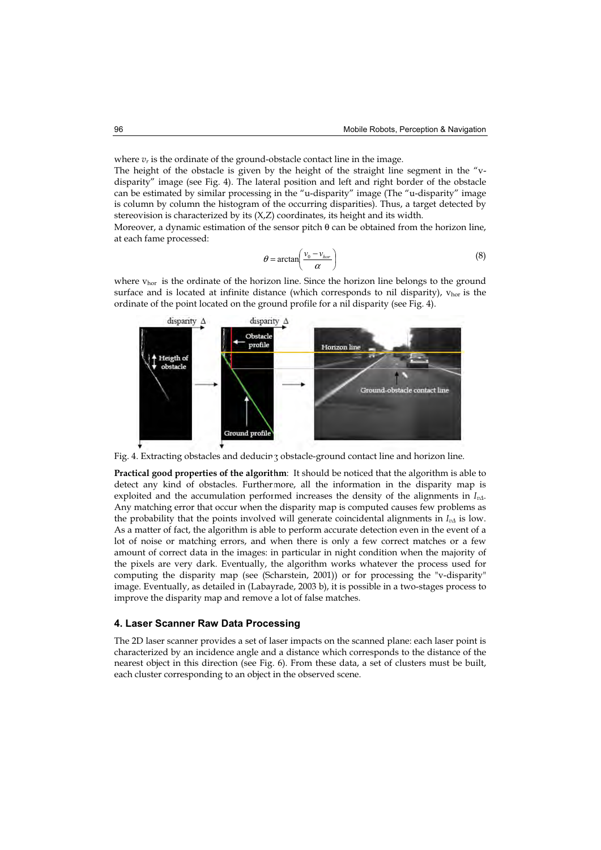where  $v_r$  is the ordinate of the ground-obstacle contact line in the image.

The height of the obstacle is given by the height of the straight line segment in the "vdisparity" image (see Fig. 4). The lateral position and left and right border of the obstacle can be estimated by similar processing in the "u-disparity" image (The "u-disparity" image is column by column the histogram of the occurring disparities). Thus, a target detected by stereovision is characterized by its (X,Z) coordinates, its height and its width.

Moreover, a dynamic estimation of the sensor pitch  $\theta$  can be obtained from the horizon line, at each fame processed:

$$
\theta = \arctan\left(\frac{v_0 - v_{hor}}{\alpha}\right) \tag{8}
$$

where  $v_{hor}$  is the ordinate of the horizon line. Since the horizon line belongs to the ground surface and is located at infinite distance (which corresponds to nil disparity),  $v_{\text{hor}}$  is the ordinate of the point located on the ground profile for a nil disparity (see Fig. 4).



Fig. 4. Extracting obstacles and deducin 3 obstacle-ground contact line and horizon line.

**Practical good properties of the algorithm**: It should be noticed that the algorithm is able to detect any kind of obstacles. Furthermore, all the information in the disparity map is exploited and the accumulation performed increases the density of the alignments in  $I_{\nu\Lambda}$ . Any matching error that occur when the disparity map is computed causes few problems as the probability that the points involved will generate coincidental alignments in  $I_{v\Delta}$  is low. As a matter of fact, the algorithm is able to perform accurate detection even in the event of a lot of noise or matching errors, and when there is only a few correct matches or a few amount of correct data in the images: in particular in night condition when the majority of the pixels are very dark. Eventually, the algorithm works whatever the process used for computing the disparity map (see (Scharstein, 2001)) or for processing the "v-disparity" image. Eventually, as detailed in (Labayrade, 2003 b), it is possible in a two-stages process to improve the disparity map and remove a lot of false matches.

## **4. Laser Scanner Raw Data Processing**

The 2D laser scanner provides a set of laser impacts on the scanned plane: each laser point is characterized by an incidence angle and a distance which corresponds to the distance of the nearest object in this direction (see Fig. 6). From these data, a set of clusters must be built, each cluster corresponding to an object in the observed scene.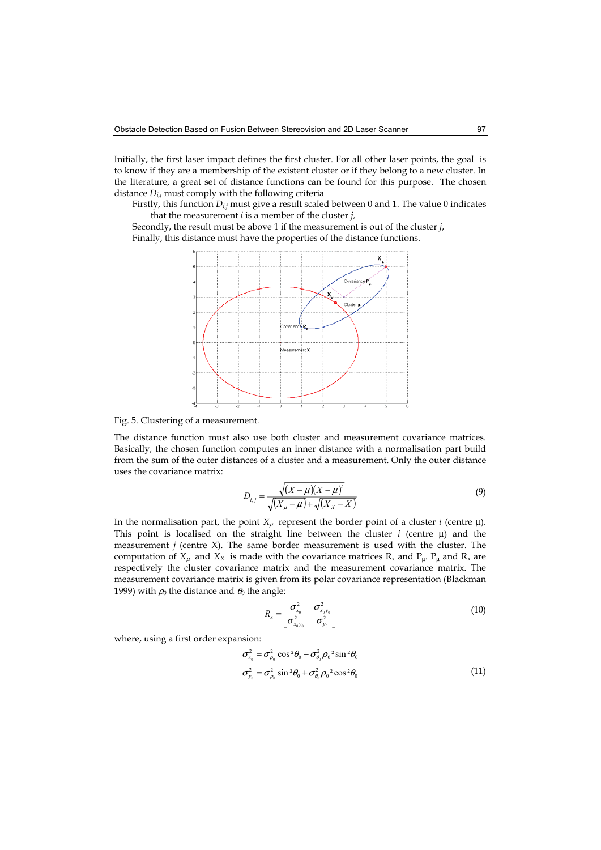Initially, the first laser impact defines the first cluster. For all other laser points, the goal is to know if they are a membership of the existent cluster or if they belong to a new cluster. In the literature, a great set of distance functions can be found for this purpose. The chosen distance *Di,j* must comply with the following criteria

Firstly, this function  $D_{i,j}$  must give a result scaled between 0 and 1. The value 0 indicates that the measurement *i* is a member of the cluster *j,*

Secondly, the result must be above 1 if the measurement is out of the cluster *j*, Finally, this distance must have the properties of the distance functions.



Fig. 5. Clustering of a measurement.

The distance function must also use both cluster and measurement covariance matrices. Basically, the chosen function computes an inner distance with a normalisation part build from the sum of the outer distances of a cluster and a measurement. Only the outer distance uses the covariance matrix:

$$
D_{i,j} = \frac{\sqrt{(X - \mu)(X - \mu)^{2}}}{\sqrt{(X_{\mu} - \mu)} + \sqrt{(X_{\mu} - X)}}
$$
(9)

In the normalisation part, the point  $X_\mu$  represent the border point of a cluster *i* (centre  $\mu$ ). This point is localised on the straight line between the cluster *i* (centre μ) and the measurement  $j$  (centre  $X$ ). The same border measurement is used with the cluster. The computation of  $X_\mu$  and  $X_X$  is made with the covariance matrices  $R_x$  and  $P_\mu$ .  $P_\mu$  and  $R_x$  are respectively the cluster covariance matrix and the measurement covariance matrix. The measurement covariance matrix is given from its polar covariance representation (Blackman 1999) with  $\rho_0$  the distance and  $\theta_0$  the angle:

$$
R_x = \begin{bmatrix} \sigma_{x_0}^2 & \sigma_{x_0, y_0}^2 \\ \sigma_{x_0, y_0}^2 & \sigma_{y_0}^2 \end{bmatrix}
$$
 (10)

where, using a first order expansion:

$$
\sigma_{x_0}^2 = \sigma_{\rho_0}^2 \cos^2 \theta_0 + \sigma_{\theta_0}^2 \rho_0^2 \sin^2 \theta_0
$$
  

$$
\sigma_{y_0}^2 = \sigma_{\rho_0}^2 \sin^2 \theta_0 + \sigma_{\theta_0}^2 \rho_0^2 \cos^2 \theta_0
$$
 (11)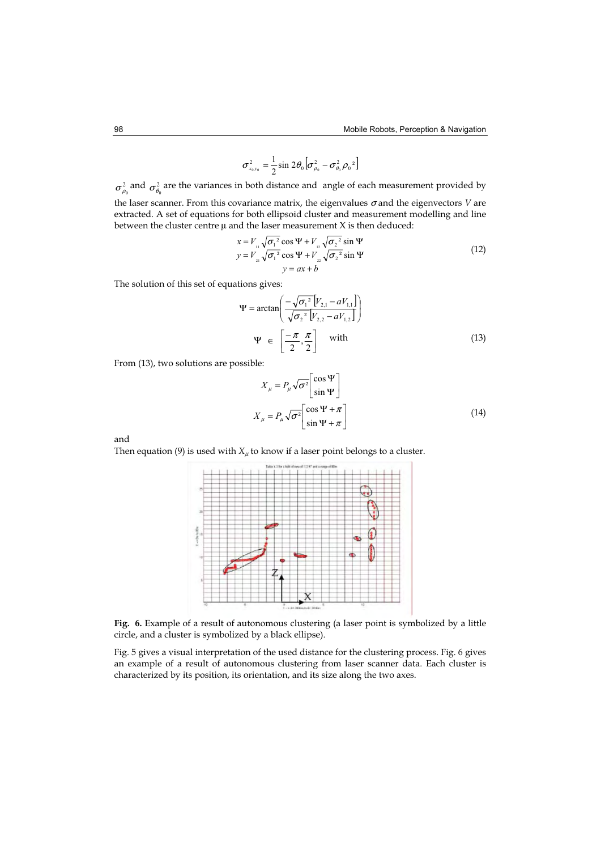$$
\sigma_{x_0y_0}^2 = \frac{1}{2}\sin 2\theta_0 \Big[\sigma_{\rho_0}^2 - \sigma_{\theta_0}^2 \rho_0^2\Big]
$$

 $\sigma_{\rho_0}^2$  and  $\sigma_{\theta_0}^2$  are the variances in both distance and angle of each measurement provided by the laser scanner. From this covariance matrix, the eigenvalues  $\sigma$  and the eigenvectors *V* are extracted. A set of equations for both ellipsoid cluster and measurement modelling and line between the cluster centre  $\mu$  and the laser measurement X is then deduced:

$$
x = V_{11} \sqrt{\sigma_1^2} \cos \Psi + V_{12} \sqrt{\sigma_2^2} \sin \Psi
$$
  
\n
$$
y = V_{21} \sqrt{\sigma_1^2} \cos \Psi + V_{22} \sqrt{\sigma_2^2} \sin \Psi
$$
  
\n
$$
y = ax + b
$$
\n(12)

The solution of this set of equations gives:

$$
\Psi = \arctan\left(\frac{-\sqrt{\sigma_1^2} \left[ V_{2,1} - a V_{1,1} \right]}{\sqrt{\sigma_2^2} \left[ V_{2,2} - a V_{1,2} \right]} \right)
$$
\n
$$
\Psi \in \left[ \frac{-\pi}{2}, \frac{\pi}{2} \right] \quad \text{with} \tag{13}
$$

From (13), two solutions are possible:

$$
X_{\mu} = P_{\mu} \sqrt{\sigma^2} \begin{bmatrix} \cos \Psi \\ \sin \Psi \end{bmatrix}
$$
  

$$
X_{\mu} = P_{\mu} \sqrt{\sigma^2} \begin{bmatrix} \cos \Psi + \pi \\ \sin \Psi + \pi \end{bmatrix}
$$
 (14)

and

Then equation (9) is used with  $X_\mu$  to know if a laser point belongs to a cluster.



**Fig. 6.** Example of a result of autonomous clustering (a laser point is symbolized by a little circle, and a cluster is symbolized by a black ellipse).

Fig. 5 gives a visual interpretation of the used distance for the clustering process. Fig. 6 gives an example of a result of autonomous clustering from laser scanner data. Each cluster is characterized by its position, its orientation, and its size along the two axes.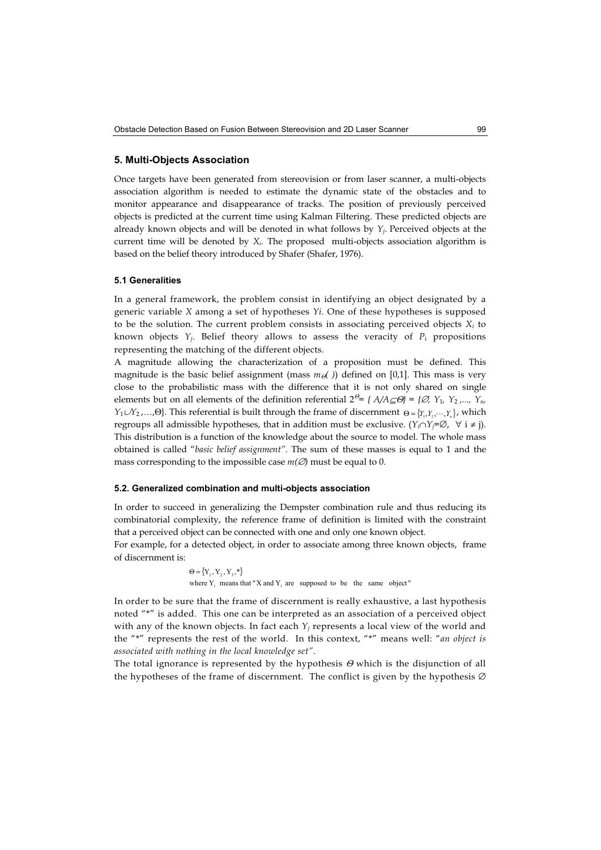## **5. Multi-Objects Association**

Once targets have been generated from stereovision or from laser scanner, a multi-objects association algorithm is needed to estimate the dynamic state of the obstacles and to monitor appearance and disappearance of tracks. The position of previously perceived objects is predicted at the current time using Kalman Filtering. These predicted objects are already known objects and will be denoted in what follows by *Yj*. Perceived objects at the current time will be denoted by *Xi*. The proposed multi-objects association algorithm is based on the belief theory introduced by Shafer (Shafer, 1976).

## **5.1 Generalities**

In a general framework, the problem consist in identifying an object designated by a generic variable *X* among a set of hypotheses *Yi*. One of these hypotheses is supposed to be the solution. The current problem consists in associating perceived objects  $X_i$  to known objects  $Y_i$ . Belief theory allows to assess the veracity of  $P_i$  propositions representing the matching of the different objects.

A magnitude allowing the characterization of a proposition must be defined. This magnitude is the basic belief assignment (mass  $m_{\Theta}$ ) defined on [0,1]. This mass is very close to the probabilistic mass with the difference that it is not only shared on single elements but on all elements of the definition referential  $2^{\Theta} = \{A/A\subseteq\Theta\} = \{\emptyset, Y_1, Y_2, ..., Y_n,$ *Y*<sub>1</sub>∪*Y*<sub>2</sub>,...,Θ}. This referential is built through the frame of discernment  $\Theta = \{Y_1, Y_2, \dots, Y_n\}$ , which regroups all admissible hypotheses, that in addition must be exclusive.  $(Y_i \cap Y_j = \emptyset, \forall i \neq j)$ . This distribution is a function of the knowledge about the source to model. The whole mass obtained is called "*basic belief assignment"*. The sum of these masses is equal to 1 and the mass corresponding to the impossible case  $m(\emptyset)$  must be equal to 0.

#### **5.2. Generalized combination and multi-objects association**

In order to succeed in generalizing the Dempster combination rule and thus reducing its combinatorial complexity, the reference frame of definition is limited with the constraint that a perceived object can be connected with one and only one known object.

For example, for a detected object, in order to associate among three known objects, frame of discernment is:

> $\Theta = \{ Y_1, Y_2, Y_3, *\}$ where  $Y_i$  means that "X and  $Y_i$  are supposed to be the same object"

In order to be sure that the frame of discernment is really exhaustive, a last hypothesis noted "\*" is added. This one can be interpreted as an association of a perceived object with any of the known objects. In fact each  $Y_j$  represents a local view of the world and the "\*" represents the rest of the world. In this context, "\*" means well: "*an object is associated with nothing in the local knowledge set"*.

The total ignorance is represented by the hypothesis  $\Theta$  which is the disjunction of all the hypotheses of the frame of discernment. The conflict is given by the hypothesis  $Ø$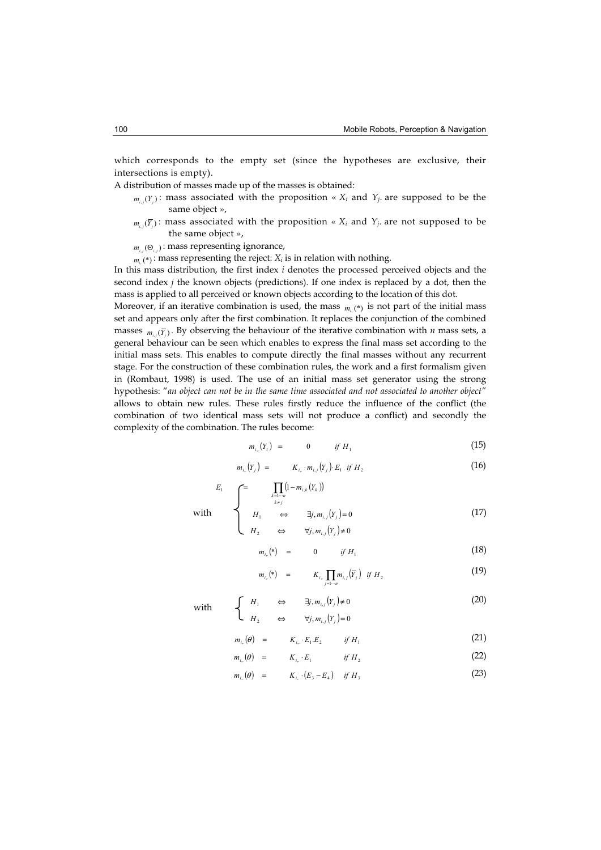which corresponds to the empty set (since the hypotheses are exclusive, their intersections is empty).

A distribution of masses made up of the masses is obtained:

- $m_{i,j}(Y_i)$ : mass associated with the proposition «  $X_i$  and  $Y_j$  are supposed to be the same object »,
- $m_{i,j}(\overline{Y}_j)$ : mass associated with the proposition «  $X_i$  and  $Y_j$  are not supposed to be the same object »,
- ( ) *mi*, *<sup>j</sup>* Θ*i*, *<sup>j</sup>* : mass representing ignorance,

 $\mathbf{w}$ 

 $m_i$ <sub>(\*)</sub>: mass representing the reject:  $X_i$  is in relation with nothing.

In this mass distribution, the first index *i* denotes the processed perceived objects and the second index *j* the known objects (predictions). If one index is replaced by a dot, then the mass is applied to all perceived or known objects according to the location of this dot.

Moreover, if an iterative combination is used, the mass  $m_i(*)$  is not part of the initial mass set and appears only after the first combination. It replaces the conjunction of the combined masses  $m_{\nu}(\bar{Y})$ . By observing the behaviour of the iterative combination with *n* mass sets, a general behaviour can be seen which enables to express the final mass set according to the initial mass sets. This enables to compute directly the final masses without any recurrent stage. For the construction of these combination rules, the work and a first formalism given in (Rombaut, 1998) is used. The use of an initial mass set generator using the strong hypothesis: "*an object can not be in the same time associated and not associated to another object"* allows to obtain new rules. These rules firstly reduce the influence of the conflict (the combination of two identical mass sets will not produce a conflict) and secondly the complexity of the combination. The rules become:

$$
m_{i_{\nu}}(Y_i) = 0 \t\t \text{if } H_1 \t\t (15)
$$

$$
m_{i} (Y_j) = K_{i} \cdot m_{i,j} (Y_j) \cdot E_1 \quad \text{if } H_2 \tag{16}
$$

$$
E_1 \quad \left\{ \begin{aligned} &= \prod_{\substack{k=1...n\\k\neq j}} \left(1 - m_{i,k}(Y_k)\right) \\ H_1 \quad \Leftrightarrow \quad \exists j, m_{i,j}(Y_j) = 0 \\ H_2 \quad \Leftrightarrow \quad \forall j, m_{i,j}(Y_j) \neq 0 \end{aligned} \right. \tag{17}
$$

$$
m_{i}(\ast) = 0 \quad \text{if } H_1 \tag{18}
$$

$$
m_{i_{\nu}}(*) = K_{i_{\nu}} \prod_{j=1\cdots n} m_{i,j} (\bar{Y}_j) \text{ if } H_2
$$
 (19)

*H*<sub>1</sub> ⇔  $\exists j, m_{i,j}(Y_i) \neq 0$  (20) *H*<sub>2</sub> ⇔  $\forall j, m_{i,j}(Y_i) = 0$ with

$$
m_{i.}(\theta) = K_{i.} \cdot E_1 \cdot E_2 \qquad \text{if } H_1 \tag{21}
$$

$$
m_{i_{\alpha}}(\theta) = K_{i_{\alpha}} \cdot E_1 \qquad \qquad \text{if } H_2 \tag{22}
$$

$$
m_{i}(\theta) = K_{i} \cdot (E_3 - E_4) \quad \text{if } H_3 \tag{23}
$$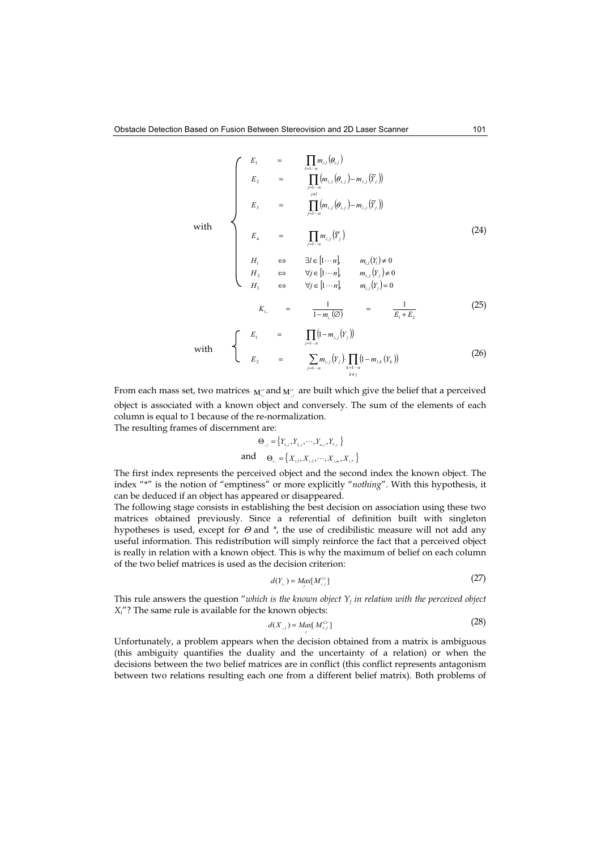$$
\begin{cases}\nE_1 = \prod_{i=1...n} m_{i,i}(\theta_{i,i}) \\
E_2 = \prod_{j=1...n} (m_{i,j}(\theta_{i,j}) - m_{i,j}(\overline{Y}_j)) \\
E_3 = \prod_{j=1...n} (m_{i,j}(\theta_{i,j}) - m_{i,j}(\overline{Y}_j)) \\
E_4 = \prod_{j=1...n} m_{i,j}(\overline{Y}_j) \\
H_1 \Leftrightarrow \exists l \in [1...n], \quad m_{i,l}(Y_l) \neq 0 \\
H_2 \Leftrightarrow \forall j \in [1...n], \quad m_{i,j}(Y_j) \neq 0 \\
H_3 \Leftrightarrow \forall j \in [1...n], \quad m_{i,j}(Y_j) = 0 \\
K_{i..} = \frac{1}{1 - m_{i..}(\emptyset)} = \frac{1}{E_1 + E_2}\n\end{cases}
$$
\n(25)

with 
$$
\begin{cases}\nE_1 = \prod_{j=1...n} (1 - m_{i,j}(Y_j)) \\
E_2 = \sum_{j=1...n} m_{i,j}(Y_j) \cdot \prod_{k=1...n} (1 - m_{i,k}(Y_k))\n\end{cases}
$$
\n(26)

From each mass set, two matrices  $\mu_i^{\sigma}$  and  $\mu_{i}^{\sigma}$  are built which give the belief that a perceived object is associated with a known object and conversely. The sum of the elements of each column is equal to 1 because of the re-normalization. The resulting frames of discernment are:

$$
\Theta_{,j} = \left\{ Y_{1,j}, Y_{2,j}, \cdots, Y_{n,j}, Y_{n,j} \right\}
$$
  
and 
$$
\Theta_{i_{n}} = \left\{ X_{i,1}, X_{i,2}, \cdots, X_{i,m}, X_{i,n} \right\}
$$

The first index represents the perceived object and the second index the known object. The index "\*" is the notion of "emptiness" or more explicitly "*nothing*". With this hypothesis, it can be deduced if an object has appeared or disappeared.

The following stage consists in establishing the best decision on association using these two matrices obtained previously. Since a referential of definition built with singleton hypotheses is used, except for Θ and *\**, the use of credibilistic measure will not add any useful information. This redistribution will simply reinforce the fact that a perceived object is really in relation with a known object. This is why the maximum of belief on each column of the two belief matrices is used as the decision criterion:

$$
d(Y_{i}) = \underset{i}{\text{Max}}[M_{i,j}^{\text{cr}}] \tag{27}
$$

This rule answers the question "*which is the known object*  $Y_j$  *in relation with the perceived object Xi*"? The same rule is available for the known objects:

$$
d(X_{\alpha,j}) = \text{Max}[\,M_{i,j}^{C^*}\,]\tag{28}
$$

Unfortunately, a problem appears when the decision obtained from a matrix is ambiguous (this ambiguity quantifies the duality and the uncertainty of a relation) or when the decisions between the two belief matrices are in conflict (this conflict represents antagonism between two relations resulting each one from a different belief matrix). Both problems of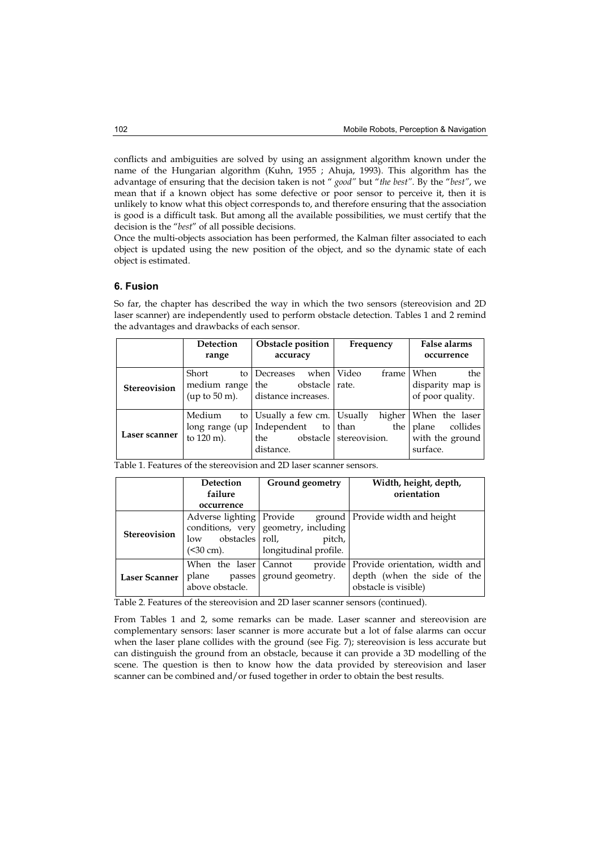conflicts and ambiguities are solved by using an assignment algorithm known under the name of the Hungarian algorithm (Kuhn, 1955 ; Ahuja, 1993). This algorithm has the advantage of ensuring that the decision taken is not " *good"* but "*the best"*. By the "*best"*, we mean that if a known object has some defective or poor sensor to perceive it, then it is unlikely to know what this object corresponds to, and therefore ensuring that the association is good is a difficult task. But among all the available possibilities, we must certify that the decision is the "*best*" of all possible decisions.

Once the multi-objects association has been performed, the Kalman filter associated to each object is updated using the new position of the object, and so the dynamic state of each object is estimated.

## **6. Fusion**

So far, the chapter has described the way in which the two sensors (stereovision and 2D laser scanner) are independently used to perform obstacle detection. Tables 1 and 2 remind the advantages and drawbacks of each sensor.

|                     | <b>Detection</b>                                             | Obstacle position                                                  | Frequency                           | <b>False alarms</b>                                                         |
|---------------------|--------------------------------------------------------------|--------------------------------------------------------------------|-------------------------------------|-----------------------------------------------------------------------------|
|                     | range                                                        | accuracy                                                           |                                     | occurrence                                                                  |
| <b>Stereovision</b> | Short<br>to<br>medium range $ $ the<br>(up to 50 m).         | when<br>Decreases<br>obstacle   rate.<br>distance increases.       | Video<br>frame l                    | When<br>the<br>disparity map is<br>of poor quality.                         |
| Laser scanner       | Medium<br>long range $(up \,   \, Independent$<br>to 120 m). | to   Usually a few cm.   Usually<br>obstacle  <br>the<br>distance. | to   than<br>the  <br>stereovision. | higher   When the laser<br>collides<br>plane<br>with the ground<br>surface. |

Table 1. Features of the stereovision and 2D laser scanner sensors.

|                      | <b>Detection</b><br>failure | Ground geometry                      | Width, height, depth,<br>orientation     |
|----------------------|-----------------------------|--------------------------------------|------------------------------------------|
|                      | occurrence                  |                                      |                                          |
|                      | Adverse lighting   Provide  |                                      | ground   Provide width and height        |
| <b>Stereovision</b>  |                             | conditions, very geometry, including |                                          |
|                      | obstacles<br>low            | roll,<br>pitch,                      |                                          |
|                      | (< 30 cm).                  | longitudinal profile.                |                                          |
|                      | When the laser Cannot       |                                      | provide   Provide orientation, width and |
| <b>Laser Scanner</b> | plane<br>passes             | ground geometry.                     | depth (when the side of the              |
|                      | above obstacle.             |                                      | obstacle is visible)                     |

Table 2. Features of the stereovision and 2D laser scanner sensors (continued).

From Tables 1 and 2, some remarks can be made. Laser scanner and stereovision are complementary sensors: laser scanner is more accurate but a lot of false alarms can occur when the laser plane collides with the ground (see Fig. 7); stereovision is less accurate but can distinguish the ground from an obstacle, because it can provide a 3D modelling of the scene. The question is then to know how the data provided by stereovision and laser scanner can be combined and/or fused together in order to obtain the best results.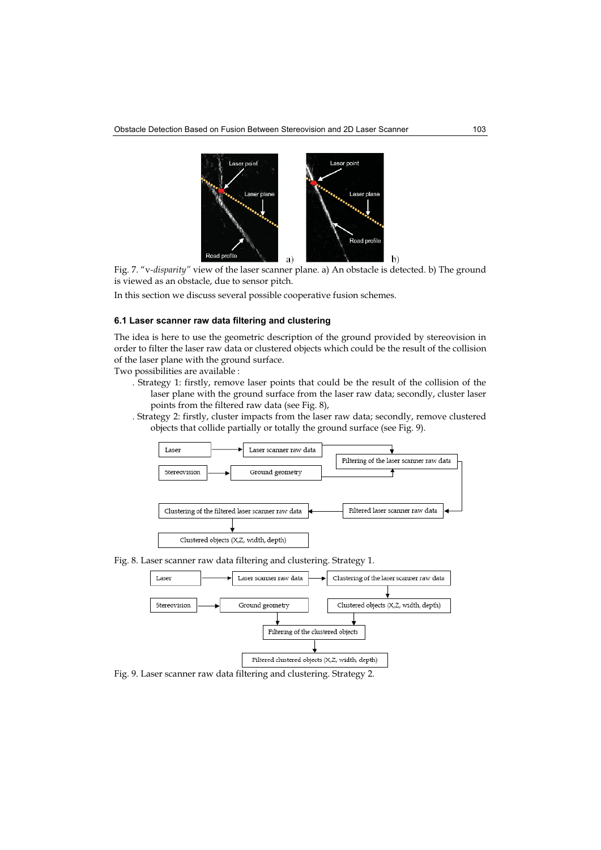

Fig. 7. "v*-disparity"* view of the laser scanner plane. a) An obstacle is detected. b) The ground is viewed as an obstacle, due to sensor pitch.

In this section we discuss several possible cooperative fusion schemes.

## **6.1 Laser scanner raw data filtering and clustering**

The idea is here to use the geometric description of the ground provided by stereovision in order to filter the laser raw data or clustered objects which could be the result of the collision of the laser plane with the ground surface.

Two possibilities are available :

- . Strategy 1: firstly, remove laser points that could be the result of the collision of the laser plane with the ground surface from the laser raw data; secondly, cluster laser points from the filtered raw data (see Fig. 8),
- . Strategy 2: firstly, cluster impacts from the laser raw data; secondly, remove clustered objects that collide partially or totally the ground surface (see Fig. 9).



Fig. 8. Laser scanner raw data filtering and clustering. Strategy 1.



Fig. 9. Laser scanner raw data filtering and clustering. Strategy 2.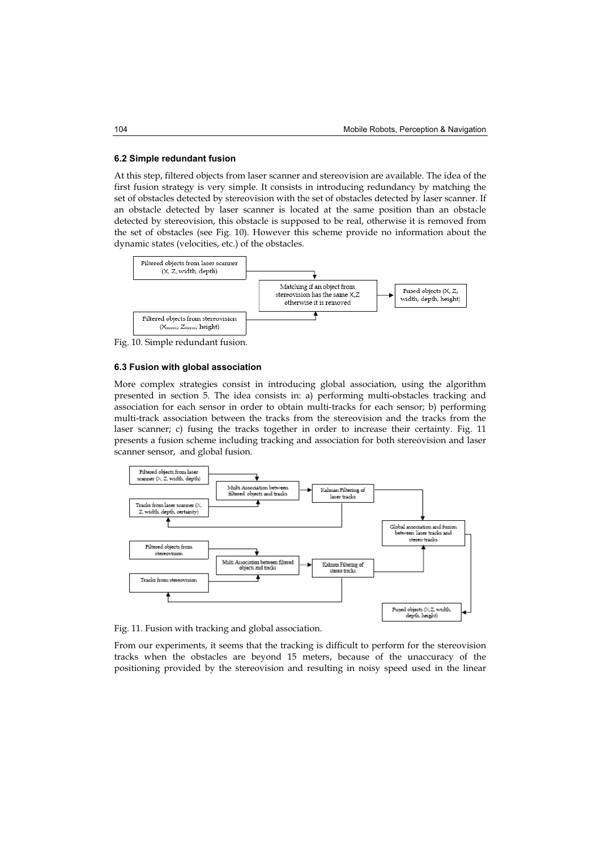#### **6.2 Simple redundant fusion**

At this step, filtered objects from laser scanner and stereovision are available. The idea of the first fusion strategy is very simple. It consists in introducing redundancy by matching the set of obstacles detected by stereovision with the set of obstacles detected by laser scanner. If an obstacle detected by laser scanner is located at the same position than an obstacle detected by stereovision, this obstacle is supposed to be real, otherwise it is removed from the set of obstacles (see Fig. 10). However this scheme provide no information about the dynamic states (velocities, etc.) of the obstacles.



Fig. 10. Simple redundant fusion.

#### **6.3 Fusion with global association**

More complex strategies consist in introducing global association, using the algorithm presented in section 5. The idea consists in: a) performing multi-obstacles tracking and association for each sensor in order to obtain multi-tracks for each sensor; b) performing multi-track association between the tracks from the stereovision and the tracks from the laser scanner; c) fusing the tracks together in order to increase their certainty. Fig. 11 presents a fusion scheme including tracking and association for both stereovision and laser scanner sensor, and global fusion.



Fig. 11. Fusion with tracking and global association.

From our experiments, it seems that the tracking is difficult to perform for the stereovision tracks when the obstacles are beyond 15 meters, because of the unaccuracy of the positioning provided by the stereovision and resulting in noisy speed used in the linear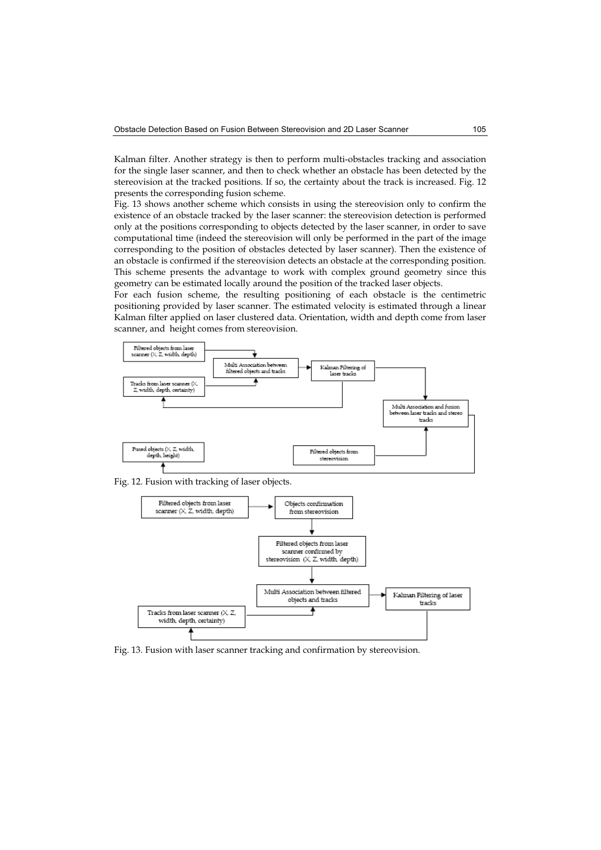Kalman filter. Another strategy is then to perform multi-obstacles tracking and association for the single laser scanner, and then to check whether an obstacle has been detected by the stereovision at the tracked positions. If so, the certainty about the track is increased. Fig. 12 presents the corresponding fusion scheme.

Fig. 13 shows another scheme which consists in using the stereovision only to confirm the existence of an obstacle tracked by the laser scanner: the stereovision detection is performed only at the positions corresponding to objects detected by the laser scanner, in order to save computational time (indeed the stereovision will only be performed in the part of the image corresponding to the position of obstacles detected by laser scanner). Then the existence of an obstacle is confirmed if the stereovision detects an obstacle at the corresponding position. This scheme presents the advantage to work with complex ground geometry since this geometry can be estimated locally around the position of the tracked laser objects.

For each fusion scheme, the resulting positioning of each obstacle is the centimetric positioning provided by laser scanner. The estimated velocity is estimated through a linear Kalman filter applied on laser clustered data. Orientation, width and depth come from laser scanner, and height comes from stereovision.



Fig. 12. Fusion with tracking of laser objects.



Fig. 13. Fusion with laser scanner tracking and confirmation by stereovision.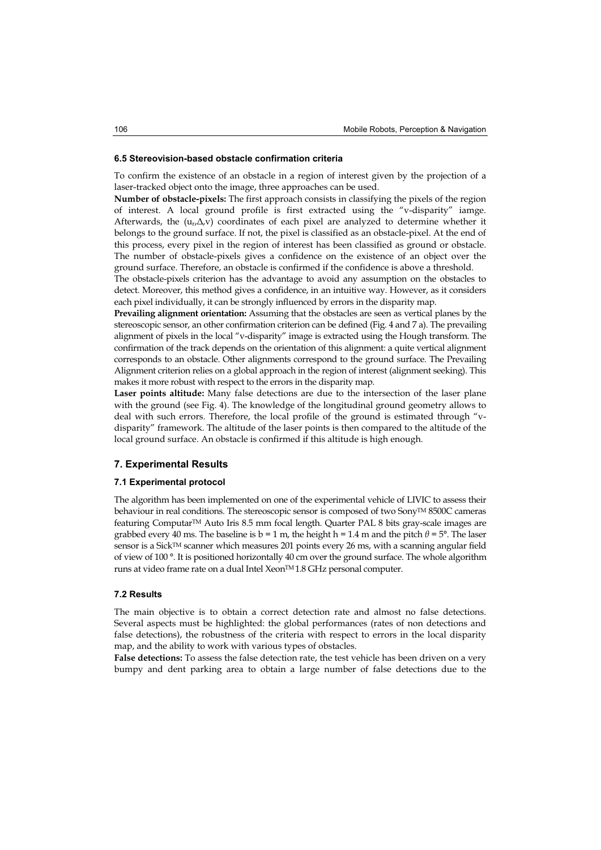### **6.5 Stereovision-based obstacle confirmation criteria**

To confirm the existence of an obstacle in a region of interest given by the projection of a laser-tracked object onto the image, three approaches can be used.

**Number of obstacle-pixels:** The first approach consists in classifying the pixels of the region of interest. A local ground profile is first extracted using the "v-disparity" iamge. Afterwards, the  $(u_r\Delta,v)$  coordinates of each pixel are analyzed to determine whether it belongs to the ground surface. If not, the pixel is classified as an obstacle-pixel. At the end of this process, every pixel in the region of interest has been classified as ground or obstacle. The number of obstacle-pixels gives a confidence on the existence of an object over the ground surface. Therefore, an obstacle is confirmed if the confidence is above a threshold.

The obstacle-pixels criterion has the advantage to avoid any assumption on the obstacles to detect. Moreover, this method gives a confidence, in an intuitive way. However, as it considers each pixel individually, it can be strongly influenced by errors in the disparity map.

**Prevailing alignment orientation:** Assuming that the obstacles are seen as vertical planes by the stereoscopic sensor, an other confirmation criterion can be defined (Fig. 4 and 7 a). The prevailing alignment of pixels in the local "v-disparity" image is extracted using the Hough transform. The confirmation of the track depends on the orientation of this alignment: a quite vertical alignment corresponds to an obstacle. Other alignments correspond to the ground surface. The Prevailing Alignment criterion relies on a global approach in the region of interest (alignment seeking). This makes it more robust with respect to the errors in the disparity map.

**Laser points altitude:** Many false detections are due to the intersection of the laser plane with the ground (see Fig. 4). The knowledge of the longitudinal ground geometry allows to deal with such errors. Therefore, the local profile of the ground is estimated through "vdisparity" framework. The altitude of the laser points is then compared to the altitude of the local ground surface. An obstacle is confirmed if this altitude is high enough.

## **7. Experimental Results**

## **7.1 Experimental protocol**

The algorithm has been implemented on one of the experimental vehicle of LIVIC to assess their behaviour in real conditions. The stereoscopic sensor is composed of two Sony<sup>TM</sup> 8500C cameras featuring ComputarTM Auto Iris 8.5 mm focal length. Quarter PAL 8 bits gray-scale images are grabbed every 40 ms. The baseline is  $b = 1$  m, the height  $h = 1.4$  m and the pitch  $\theta = 5^{\circ}$ . The laser sensor is a Sick<sup>TM</sup> scanner which measures 201 points every 26 ms, with a scanning angular field of view of 100 °. It is positioned horizontally 40 cm over the ground surface. The whole algorithm runs at video frame rate on a dual Intel XeonTM 1.8 GHz personal computer.

## **7.2 Results**

The main objective is to obtain a correct detection rate and almost no false detections. Several aspects must be highlighted: the global performances (rates of non detections and false detections), the robustness of the criteria with respect to errors in the local disparity map, and the ability to work with various types of obstacles.

**False detections:** To assess the false detection rate, the test vehicle has been driven on a very bumpy and dent parking area to obtain a large number of false detections due to the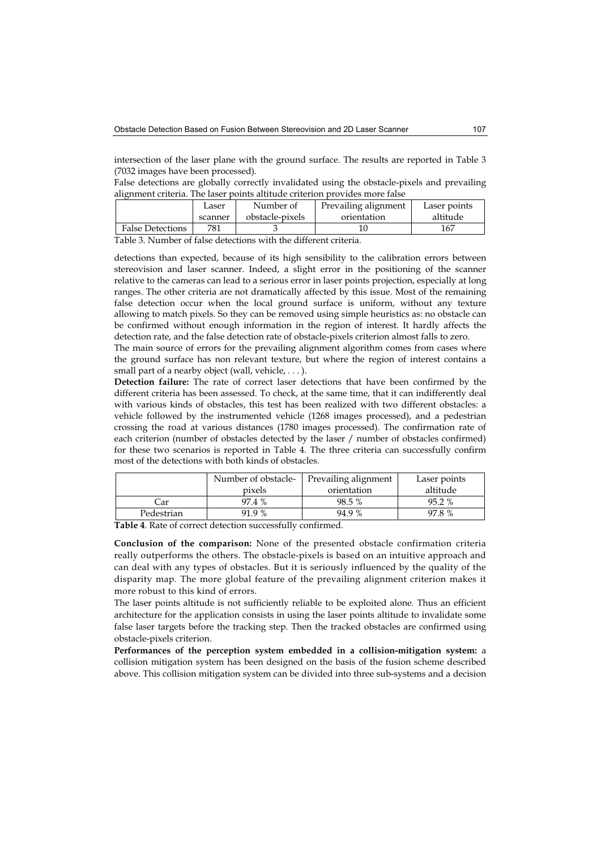intersection of the laser plane with the ground surface. The results are reported in Table 3 (7032 images have been processed).

False detections are globally correctly invalidated using the obstacle-pixels and prevailing alignment criteria. The laser points altitude criterion provides more false

|                         | $\sqrt{2}$ aser | Number of       | Prevailing alignment | Laser points |
|-------------------------|-----------------|-----------------|----------------------|--------------|
|                         | scanner         | obstacle-pixels | orientation          | altitude     |
| <b>False Detections</b> | 781             |                 |                      | 167          |

Table 3. Number of false detections with the different criteria.

detections than expected, because of its high sensibility to the calibration errors between stereovision and laser scanner. Indeed, a slight error in the positioning of the scanner relative to the cameras can lead to a serious error in laser points projection, especially at long ranges. The other criteria are not dramatically affected by this issue. Most of the remaining false detection occur when the local ground surface is uniform, without any texture allowing to match pixels. So they can be removed using simple heuristics as: no obstacle can be confirmed without enough information in the region of interest. It hardly affects the detection rate, and the false detection rate of obstacle-pixels criterion almost falls to zero.

The main source of errors for the prevailing alignment algorithm comes from cases where the ground surface has non relevant texture, but where the region of interest contains a small part of a nearby object (wall, vehicle, . . . ).

**Detection failure:** The rate of correct laser detections that have been confirmed by the different criteria has been assessed. To check, at the same time, that it can indifferently deal with various kinds of obstacles, this test has been realized with two different obstacles: a vehicle followed by the instrumented vehicle (1268 images processed), and a pedestrian crossing the road at various distances (1780 images processed). The confirmation rate of each criterion (number of obstacles detected by the laser / number of obstacles confirmed) for these two scenarios is reported in Table 4. The three criteria can successfully confirm most of the detections with both kinds of obstacles.

|            | Number of obstacle- | Prevailing alignment | Laser points |
|------------|---------------------|----------------------|--------------|
|            | pixels              | orientation          | altitude     |
| ∵ar        | 97.4 %              | 98.5 %               | 95.2%        |
| Pedestrian | 91.9 %              | 94.9 %               | 97.8 %       |

**Table 4**. Rate of correct detection successfully confirmed.

**Conclusion of the comparison:** None of the presented obstacle confirmation criteria really outperforms the others. The obstacle-pixels is based on an intuitive approach and can deal with any types of obstacles. But it is seriously influenced by the quality of the disparity map. The more global feature of the prevailing alignment criterion makes it more robust to this kind of errors.

The laser points altitude is not sufficiently reliable to be exploited alone. Thus an efficient architecture for the application consists in using the laser points altitude to invalidate some false laser targets before the tracking step. Then the tracked obstacles are confirmed using obstacle-pixels criterion.

**Performances of the perception system embedded in a collision-mitigation system:** a collision mitigation system has been designed on the basis of the fusion scheme described above. This collision mitigation system can be divided into three sub-systems and a decision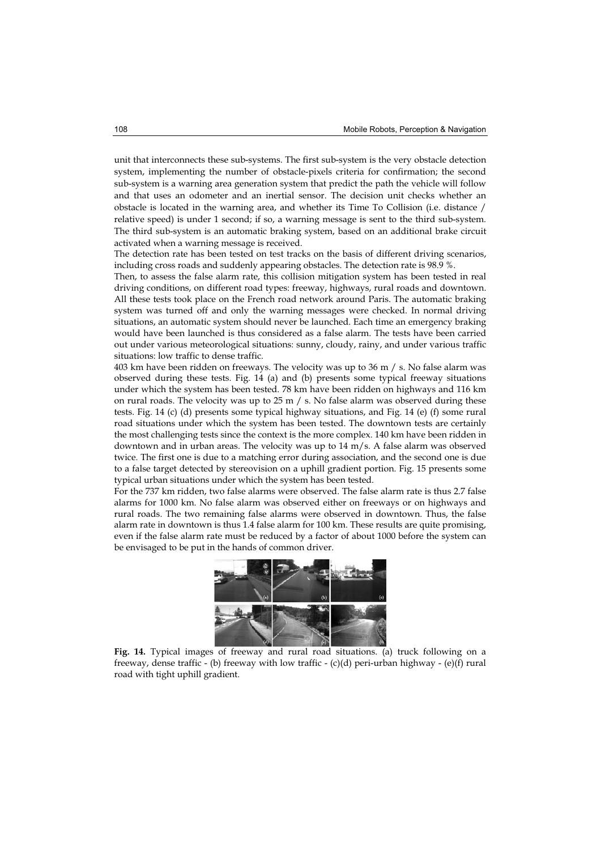unit that interconnects these sub-systems. The first sub-system is the very obstacle detection system, implementing the number of obstacle-pixels criteria for confirmation; the second sub-system is a warning area generation system that predict the path the vehicle will follow and that uses an odometer and an inertial sensor. The decision unit checks whether an obstacle is located in the warning area, and whether its Time To Collision (i.e. distance / relative speed) is under 1 second; if so, a warning message is sent to the third sub-system. The third sub-system is an automatic braking system, based on an additional brake circuit activated when a warning message is received.

The detection rate has been tested on test tracks on the basis of different driving scenarios, including cross roads and suddenly appearing obstacles. The detection rate is 98.9 %.

Then, to assess the false alarm rate, this collision mitigation system has been tested in real driving conditions, on different road types: freeway, highways, rural roads and downtown. All these tests took place on the French road network around Paris. The automatic braking system was turned off and only the warning messages were checked. In normal driving situations, an automatic system should never be launched. Each time an emergency braking would have been launched is thus considered as a false alarm. The tests have been carried out under various meteorological situations: sunny, cloudy, rainy, and under various traffic situations: low traffic to dense traffic.

403 km have been ridden on freeways. The velocity was up to 36 m / s. No false alarm was observed during these tests. Fig. 14 (a) and (b) presents some typical freeway situations under which the system has been tested. 78 km have been ridden on highways and 116 km on rural roads. The velocity was up to 25 m  $/$  s. No false alarm was observed during these tests. Fig. 14 (c) (d) presents some typical highway situations, and Fig. 14 (e) (f) some rural road situations under which the system has been tested. The downtown tests are certainly the most challenging tests since the context is the more complex. 140 km have been ridden in downtown and in urban areas. The velocity was up to 14 m/s. A false alarm was observed twice. The first one is due to a matching error during association, and the second one is due to a false target detected by stereovision on a uphill gradient portion. Fig. 15 presents some typical urban situations under which the system has been tested.

For the 737 km ridden, two false alarms were observed. The false alarm rate is thus 2.7 false alarms for 1000 km. No false alarm was observed either on freeways or on highways and rural roads. The two remaining false alarms were observed in downtown. Thus, the false alarm rate in downtown is thus 1.4 false alarm for 100 km. These results are quite promising, even if the false alarm rate must be reduced by a factor of about 1000 before the system can be envisaged to be put in the hands of common driver.



**Fig. 14.** Typical images of freeway and rural road situations. (a) truck following on a freeway, dense traffic - (b) freeway with low traffic - (c)(d) peri-urban highway - (e)(f) rural road with tight uphill gradient.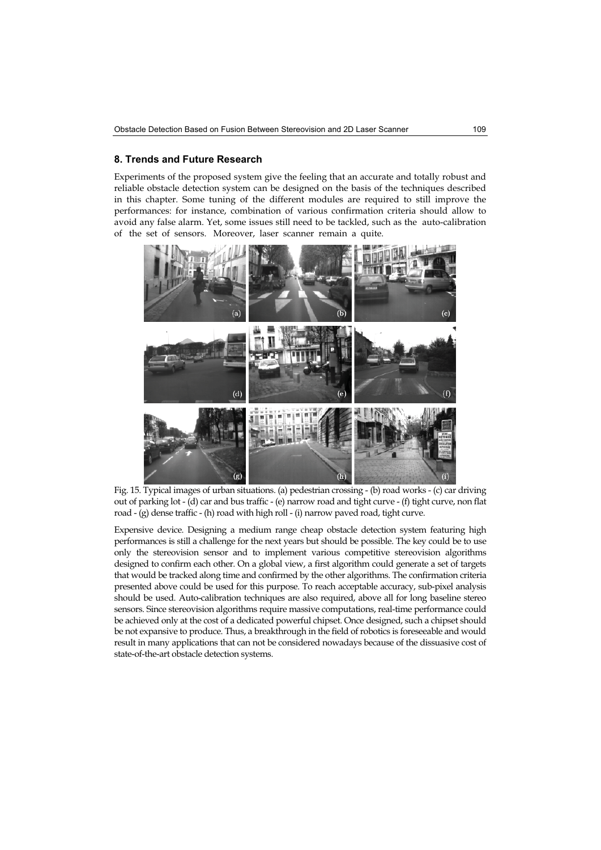## **8. Trends and Future Research**

Experiments of the proposed system give the feeling that an accurate and totally robust and reliable obstacle detection system can be designed on the basis of the techniques described in this chapter. Some tuning of the different modules are required to still improve the performances: for instance, combination of various confirmation criteria should allow to avoid any false alarm. Yet, some issues still need to be tackled, such as the auto-calibration of the set of sensors. Moreover, laser scanner remain a quite.



Fig. 15. Typical images of urban situations. (a) pedestrian crossing - (b) road works - (c) car driving out of parking lot - (d) car and bus traffic - (e) narrow road and tight curve - (f) tight curve, non flat road - (g) dense traffic - (h) road with high roll - (i) narrow paved road, tight curve.

Expensive device. Designing a medium range cheap obstacle detection system featuring high performances is still a challenge for the next years but should be possible. The key could be to use only the stereovision sensor and to implement various competitive stereovision algorithms designed to confirm each other. On a global view, a first algorithm could generate a set of targets that would be tracked along time and confirmed by the other algorithms. The confirmation criteria presented above could be used for this purpose. To reach acceptable accuracy, sub-pixel analysis should be used. Auto-calibration techniques are also required, above all for long baseline stereo sensors. Since stereovision algorithms require massive computations, real-time performance could be achieved only at the cost of a dedicated powerful chipset. Once designed, such a chipset should be not expansive to produce. Thus, a breakthrough in the field of robotics is foreseeable and would result in many applications that can not be considered nowadays because of the dissuasive cost of state-of-the-art obstacle detection systems.